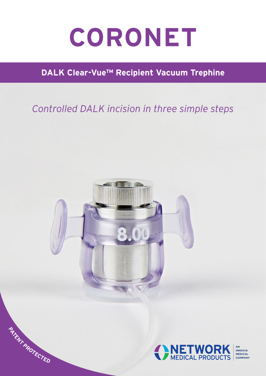# CORONET

## **DALK Clear-Vue™ Recipient Vacuum Trephine**

## *Controlled DALK incision in three simple steps*



**<sup>P</sup>ATEN<sup>T</sup> <sup>P</sup>ROTECTE<sup>D</sup>**



**INNOVIA MEDICAL COMPANY**